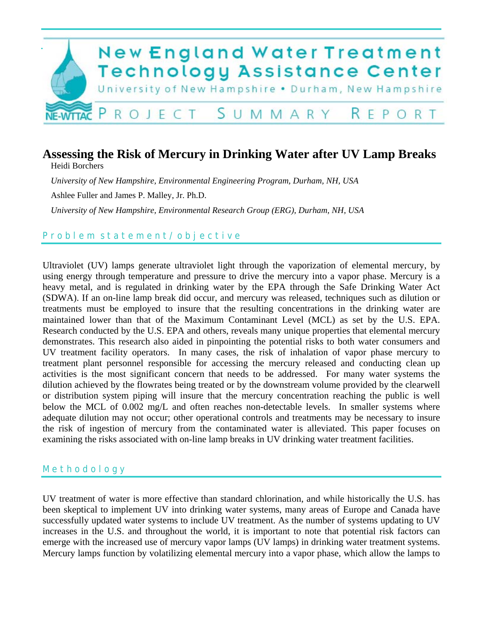

# **Assessing the Risk of Mercury in Drinking Water after UV Lamp Breaks**

Heidi Borchers

*University of New Hampshire, Environmental Engineering Program, Durham, NH, USA* 

Ashlee Fuller and James P. Malley, Jr. Ph.D.

*University of New Hampshire, Environmental Research Group (ERG), Durham, NH, USA*

# Problem statement/objective

Ultraviolet (UV) lamps generate ultraviolet light through the vaporization of elemental mercury, by using energy through temperature and pressure to drive the mercury into a vapor phase. Mercury is a heavy metal, and is regulated in drinking water by the EPA through the Safe Drinking Water Act (SDWA). If an on-line lamp break did occur, and mercury was released, techniques such as dilution or treatments must be employed to insure that the resulting concentrations in the drinking water are maintained lower than that of the Maximum Contaminant Level (MCL) as set by the U.S. EPA. Research conducted by the U.S. EPA and others, reveals many unique properties that elemental mercury demonstrates. This research also aided in pinpointing the potential risks to both water consumers and UV treatment facility operators. In many cases, the risk of inhalation of vapor phase mercury to treatment plant personnel responsible for accessing the mercury released and conducting clean up activities is the most significant concern that needs to be addressed. For many water systems the dilution achieved by the flowrates being treated or by the downstream volume provided by the clearwell or distribution system piping will insure that the mercury concentration reaching the public is well below the MCL of 0.002 mg/L and often reaches non-detectable levels. In smaller systems where adequate dilution may not occur; other operational controls and treatments may be necessary to insure the risk of ingestion of mercury from the contaminated water is alleviated. This paper focuses on examining the risks associated with on-line lamp breaks in UV drinking water treatment facilities.

## M e t h o d o l o g y

UV treatment of water is more effective than standard chlorination, and while historically the U.S. has been skeptical to implement UV into drinking water systems, many areas of Europe and Canada have successfully updated water systems to include UV treatment. As the number of systems updating to UV increases in the U.S. and throughout the world, it is important to note that potential risk factors can emerge with the increased use of mercury vapor lamps (UV lamps) in drinking water treatment systems. Mercury lamps function by volatilizing elemental mercury into a vapor phase, which allow the lamps to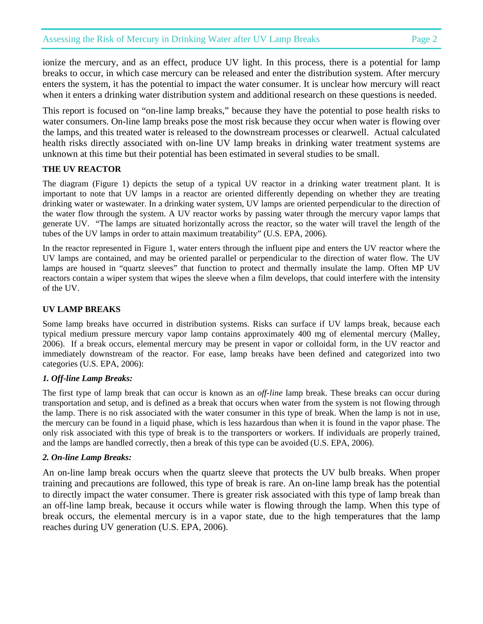ionize the mercury, and as an effect, produce UV light. In this process, there is a potential for lamp breaks to occur, in which case mercury can be released and enter the distribution system. After mercury enters the system, it has the potential to impact the water consumer. It is unclear how mercury will react when it enters a drinking water distribution system and additional research on these questions is needed.

This report is focused on "on-line lamp breaks," because they have the potential to pose health risks to water consumers. On-line lamp breaks pose the most risk because they occur when water is flowing over the lamps, and this treated water is released to the downstream processes or clearwell. Actual calculated health risks directly associated with on-line UV lamp breaks in drinking water treatment systems are unknown at this time but their potential has been estimated in several studies to be small.

## **THE UV REACTOR**

The diagram (Figure 1) depicts the setup of a typical UV reactor in a drinking water treatment plant. It is important to note that UV lamps in a reactor are oriented differently depending on whether they are treating drinking water or wastewater. In a drinking water system, UV lamps are oriented perpendicular to the direction of the water flow through the system. A UV reactor works by passing water through the mercury vapor lamps that generate UV. "The lamps are situated horizontally across the reactor, so the water will travel the length of the tubes of the UV lamps in order to attain maximum treatability" (U.S. EPA, 2006).

In the reactor represented in Figure 1, water enters through the influent pipe and enters the UV reactor where the UV lamps are contained, and may be oriented parallel or perpendicular to the direction of water flow. The UV lamps are housed in "quartz sleeves" that function to protect and thermally insulate the lamp. Often MP UV reactors contain a wiper system that wipes the sleeve when a film develops, that could interfere with the intensity of the UV.

#### **UV LAMP BREAKS**

Some lamp breaks have occurred in distribution systems. Risks can surface if UV lamps break, because each typical medium pressure mercury vapor lamp contains approximately 400 mg of elemental mercury (Malley, 2006). If a break occurs, elemental mercury may be present in vapor or colloidal form, in the UV reactor and immediately downstream of the reactor. For ease, lamp breaks have been defined and categorized into two categories (U.S. EPA, 2006):

#### *1. Off-line Lamp Breaks:*

The first type of lamp break that can occur is known as an *off-line* lamp break. These breaks can occur during transportation and setup, and is defined as a break that occurs when water from the system is not flowing through the lamp. There is no risk associated with the water consumer in this type of break. When the lamp is not in use, the mercury can be found in a liquid phase, which is less hazardous than when it is found in the vapor phase. The only risk associated with this type of break is to the transporters or workers. If individuals are properly trained, and the lamps are handled correctly, then a break of this type can be avoided (U.S. EPA, 2006).

#### *2. On-line Lamp Breaks:*

An on-line lamp break occurs when the quartz sleeve that protects the UV bulb breaks. When proper training and precautions are followed, this type of break is rare. An on-line lamp break has the potential to directly impact the water consumer. There is greater risk associated with this type of lamp break than an off-line lamp break, because it occurs while water is flowing through the lamp. When this type of break occurs, the elemental mercury is in a vapor state, due to the high temperatures that the lamp reaches during UV generation (U.S. EPA, 2006).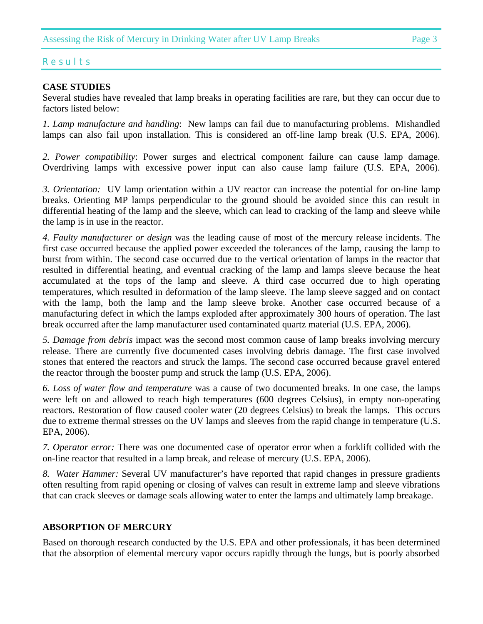## R e s u l t s

## **CASE STUDIES**

Several studies have revealed that lamp breaks in operating facilities are rare, but they can occur due to factors listed below:

*1. Lamp manufacture and handling*: New lamps can fail due to manufacturing problems. Mishandled lamps can also fail upon installation. This is considered an off-line lamp break (U.S. EPA, 2006).

*2. Power compatibility*: Power surges and electrical component failure can cause lamp damage. Overdriving lamps with excessive power input can also cause lamp failure (U.S. EPA, 2006).

*3. Orientation:* UV lamp orientation within a UV reactor can increase the potential for on-line lamp breaks. Orienting MP lamps perpendicular to the ground should be avoided since this can result in differential heating of the lamp and the sleeve, which can lead to cracking of the lamp and sleeve while the lamp is in use in the reactor.

*4. Faulty manufacturer or design* was the leading cause of most of the mercury release incidents. The first case occurred because the applied power exceeded the tolerances of the lamp, causing the lamp to burst from within. The second case occurred due to the vertical orientation of lamps in the reactor that resulted in differential heating, and eventual cracking of the lamp and lamps sleeve because the heat accumulated at the tops of the lamp and sleeve. A third case occurred due to high operating temperatures, which resulted in deformation of the lamp sleeve. The lamp sleeve sagged and on contact with the lamp, both the lamp and the lamp sleeve broke. Another case occurred because of a manufacturing defect in which the lamps exploded after approximately 300 hours of operation. The last break occurred after the lamp manufacturer used contaminated quartz material (U.S. EPA, 2006).

*5. Damage from debris* impact was the second most common cause of lamp breaks involving mercury release. There are currently five documented cases involving debris damage. The first case involved stones that entered the reactors and struck the lamps. The second case occurred because gravel entered the reactor through the booster pump and struck the lamp (U.S. EPA, 2006).

*6. Loss of water flow and temperature* was a cause of two documented breaks. In one case, the lamps were left on and allowed to reach high temperatures (600 degrees Celsius), in empty non-operating reactors. Restoration of flow caused cooler water (20 degrees Celsius) to break the lamps. This occurs due to extreme thermal stresses on the UV lamps and sleeves from the rapid change in temperature (U.S. EPA, 2006).

*7. Operator error:* There was one documented case of operator error when a forklift collided with the on-line reactor that resulted in a lamp break, and release of mercury (U.S. EPA, 2006).

*8. Water Hammer:* Several UV manufacturer's have reported that rapid changes in pressure gradients often resulting from rapid opening or closing of valves can result in extreme lamp and sleeve vibrations that can crack sleeves or damage seals allowing water to enter the lamps and ultimately lamp breakage.

## **ABSORPTION OF MERCURY**

Based on thorough research conducted by the U.S. EPA and other professionals, it has been determined that the absorption of elemental mercury vapor occurs rapidly through the lungs, but is poorly absorbed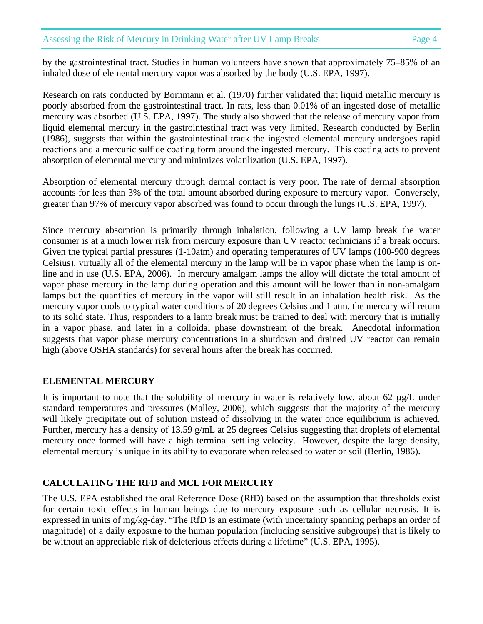by the gastrointestinal tract. Studies in human volunteers have shown that approximately 75–85% of an inhaled dose of elemental mercury vapor was absorbed by the body (U.S. EPA, 1997).

Research on rats conducted by Bornmann et al. (1970) further validated that liquid metallic mercury is poorly absorbed from the gastrointestinal tract. In rats, less than 0.01% of an ingested dose of metallic mercury was absorbed (U.S. EPA, 1997). The study also showed that the release of mercury vapor from liquid elemental mercury in the gastrointestinal tract was very limited. Research conducted by Berlin (1986), suggests that within the gastrointestinal track the ingested elemental mercury undergoes rapid reactions and a mercuric sulfide coating form around the ingested mercury. This coating acts to prevent absorption of elemental mercury and minimizes volatilization (U.S. EPA, 1997).

Absorption of elemental mercury through dermal contact is very poor. The rate of dermal absorption accounts for less than 3% of the total amount absorbed during exposure to mercury vapor. Conversely, greater than 97% of mercury vapor absorbed was found to occur through the lungs (U.S. EPA, 1997).

Since mercury absorption is primarily through inhalation, following a UV lamp break the water consumer is at a much lower risk from mercury exposure than UV reactor technicians if a break occurs. Given the typical partial pressures (1-10atm) and operating temperatures of UV lamps (100-900 degrees Celsius), virtually all of the elemental mercury in the lamp will be in vapor phase when the lamp is online and in use (U.S. EPA, 2006). In mercury amalgam lamps the alloy will dictate the total amount of vapor phase mercury in the lamp during operation and this amount will be lower than in non-amalgam lamps but the quantities of mercury in the vapor will still result in an inhalation health risk. As the mercury vapor cools to typical water conditions of 20 degrees Celsius and 1 atm, the mercury will return to its solid state. Thus, responders to a lamp break must be trained to deal with mercury that is initially in a vapor phase, and later in a colloidal phase downstream of the break. Anecdotal information suggests that vapor phase mercury concentrations in a shutdown and drained UV reactor can remain high (above OSHA standards) for several hours after the break has occurred.

## **ELEMENTAL MERCURY**

It is important to note that the solubility of mercury in water is relatively low, about 62 μg/L under standard temperatures and pressures (Malley, 2006), which suggests that the majority of the mercury will likely precipitate out of solution instead of dissolving in the water once equilibrium is achieved. Further, mercury has a density of 13.59 g/mL at 25 degrees Celsius suggesting that droplets of elemental mercury once formed will have a high terminal settling velocity. However, despite the large density, elemental mercury is unique in its ability to evaporate when released to water or soil (Berlin, 1986).

# **CALCULATING THE RFD and MCL FOR MERCURY**

The U.S. EPA established the oral Reference Dose (RfD) based on the assumption that thresholds exist for certain toxic effects in human beings due to mercury exposure such as cellular necrosis. It is expressed in units of mg/kg-day. "The RfD is an estimate (with uncertainty spanning perhaps an order of magnitude) of a daily exposure to the human population (including sensitive subgroups) that is likely to be without an appreciable risk of deleterious effects during a lifetime" (U.S. EPA, 1995).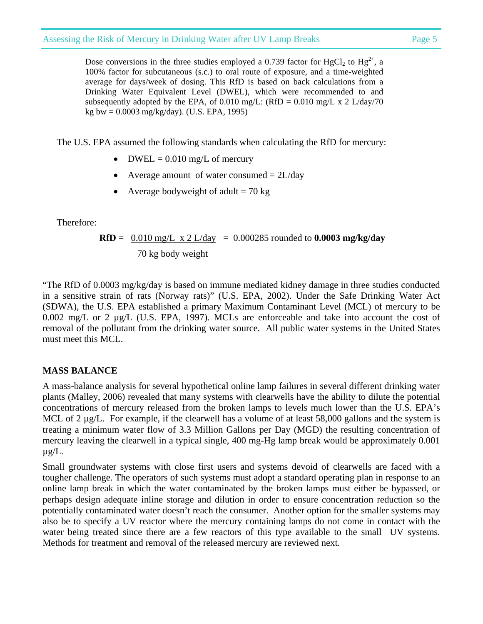Dose conversions in the three studies employed a 0.739 factor for HgCl<sub>2</sub> to Hg<sup>2+</sup>, a 100% factor for subcutaneous (s.c.) to oral route of exposure, and a time-weighted average for days/week of dosing. This RfD is based on back calculations from a Drinking Water Equivalent Level (DWEL), which were recommended to and subsequently adopted by the EPA, of 0.010 mg/L: (RfD = 0.010 mg/L x 2 L/day/70 kg bw = 0.0003 mg/kg/day). (U.S. EPA, 1995)

The U.S. EPA assumed the following standards when calculating the RfD for mercury:

- DWEL =  $0.010$  mg/L of mercury
- Average amount of water consumed  $= 2L/day$
- Average bodyweight of adult  $= 70 \text{ kg}$

Therefore:

$$
\text{RfD} = \frac{0.010 \text{ mg/L} \times 2 \text{ L/day}}{70 \text{ kg body weight}} = 0.000285 \text{ rounded to } 0.0003 \text{ mg/kg/day}
$$

"The RfD of 0.0003 mg/kg/day is based on immune mediated kidney damage in three studies conducted in a sensitive strain of rats (Norway rats)" (U.S. EPA, 2002). Under the Safe Drinking Water Act (SDWA), the U.S. EPA established a primary Maximum Contaminant Level (MCL) of mercury to be 0.002 mg/L or 2 µg/L (U.S. EPA, 1997). MCLs are enforceable and take into account the cost of removal of the pollutant from the drinking water source. All public water systems in the United States must meet this MCL.

# **MASS BALANCE**

A mass-balance analysis for several hypothetical online lamp failures in several different drinking water plants (Malley, 2006) revealed that many systems with clearwells have the ability to dilute the potential concentrations of mercury released from the broken lamps to levels much lower than the U.S. EPA's MCL of 2  $\mu$ g/L. For example, if the clearwell has a volume of at least 58,000 gallons and the system is treating a minimum water flow of 3.3 Million Gallons per Day (MGD) the resulting concentration of mercury leaving the clearwell in a typical single, 400 mg-Hg lamp break would be approximately 0.001  $\mu$ g/L.

Small groundwater systems with close first users and systems devoid of clearwells are faced with a tougher challenge. The operators of such systems must adopt a standard operating plan in response to an online lamp break in which the water contaminated by the broken lamps must either be bypassed, or perhaps design adequate inline storage and dilution in order to ensure concentration reduction so the potentially contaminated water doesn't reach the consumer. Another option for the smaller systems may also be to specify a UV reactor where the mercury containing lamps do not come in contact with the water being treated since there are a few reactors of this type available to the small UV systems. Methods for treatment and removal of the released mercury are reviewed next.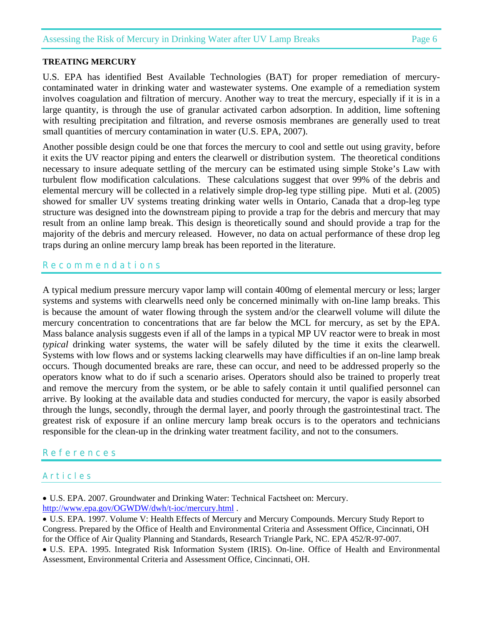## Assessing the Risk of Mercury in Drinking Water after UV Lamp Breaks Page 6

#### **TREATING MERCURY**

U.S. EPA has identified Best Available Technologies (BAT) for proper remediation of mercurycontaminated water in drinking water and wastewater systems. One example of a remediation system involves coagulation and filtration of mercury. Another way to treat the mercury, especially if it is in a large quantity, is through the use of granular activated carbon adsorption. In addition, lime softening with resulting precipitation and filtration, and reverse osmosis membranes are generally used to treat small quantities of mercury contamination in water (U.S. EPA, 2007).

Another possible design could be one that forces the mercury to cool and settle out using gravity, before it exits the UV reactor piping and enters the clearwell or distribution system. The theoretical conditions necessary to insure adequate settling of the mercury can be estimated using simple Stoke's Law with turbulent flow modification calculations. These calculations suggest that over 99% of the debris and elemental mercury will be collected in a relatively simple drop-leg type stilling pipe. Muti et al. (2005) showed for smaller UV systems treating drinking water wells in Ontario, Canada that a drop-leg type structure was designed into the downstream piping to provide a trap for the debris and mercury that may result from an online lamp break. This design is theoretically sound and should provide a trap for the majority of the debris and mercury released. However, no data on actual performance of these drop leg traps during an online mercury lamp break has been reported in the literature.

#### R e c o m m e n d a t i o n s

A typical medium pressure mercury vapor lamp will contain 400mg of elemental mercury or less; larger systems and systems with clearwells need only be concerned minimally with on-line lamp breaks. This is because the amount of water flowing through the system and/or the clearwell volume will dilute the mercury concentration to concentrations that are far below the MCL for mercury, as set by the EPA. Mass balance analysis suggests even if all of the lamps in a typical MP UV reactor were to break in most *typical* drinking water systems, the water will be safely diluted by the time it exits the clearwell. Systems with low flows and or systems lacking clearwells may have difficulties if an on-line lamp break occurs. Though documented breaks are rare, these can occur, and need to be addressed properly so the operators know what to do if such a scenario arises. Operators should also be trained to properly treat and remove the mercury from the system, or be able to safely contain it until qualified personnel can arrive. By looking at the available data and studies conducted for mercury, the vapor is easily absorbed through the lungs, secondly, through the dermal layer, and poorly through the gastrointestinal tract. The greatest risk of exposure if an online mercury lamp break occurs is to the operators and technicians responsible for the clean-up in the drinking water treatment facility, and not to the consumers.

## R e f e r e n c e s

## A r t i c l e s

• U.S. EPA. 2007. Groundwater and Drinking Water: Technical Factsheet on: Mercury. http://www.epa.gov/OGWDW/dwh/t-ioc/mercury.html .

• U.S. EPA. 1997. Volume V: Health Effects of Mercury and Mercury Compounds. Mercury Study Report to Congress. Prepared by the Office of Health and Environmental Criteria and Assessment Office, Cincinnati, OH for the Office of Air Quality Planning and Standards, Research Triangle Park, NC. EPA 452/R-97-007.

• U.S. EPA. 1995. Integrated Risk Information System (IRIS). On-line. Office of Health and Environmental Assessment, Environmental Criteria and Assessment Office, Cincinnati, OH.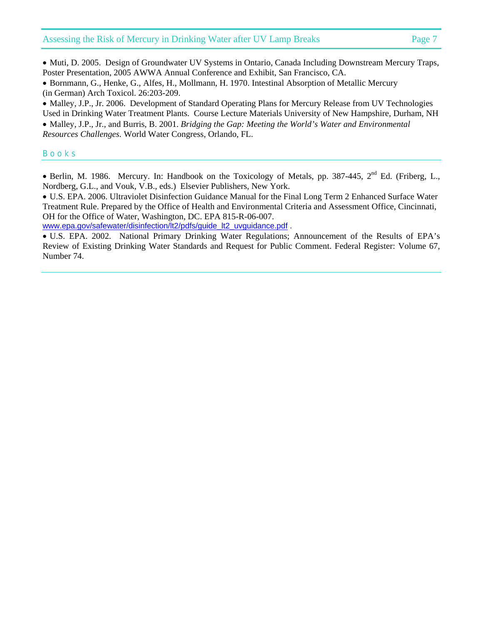#### Assessing the Risk of Mercury in Drinking Water after UV Lamp Breaks Page 7

• Muti, D. 2005. Design of Groundwater UV Systems in Ontario, Canada Including Downstream Mercury Traps, Poster Presentation, 2005 AWWA Annual Conference and Exhibit, San Francisco, CA.

• Bornmann, G., Henke, G., Alfes, H., Mollmann, H. 1970. Intestinal Absorption of Metallic Mercury (in German) Arch Toxicol. 26:203-209.

• Malley, J.P., Jr. 2006. Development of Standard Operating Plans for Mercury Release from UV Technologies Used in Drinking Water Treatment Plants. Course Lecture Materials University of New Hampshire, Durham, NH

• Malley, J.P., Jr., and Burris, B. 2001. *Bridging the Gap: Meeting the World's Water and Environmental Resources Challenges.* World Water Congress, Orlando, FL.

#### B o o k s

• Berlin, M. 1986. Mercury. In: Handbook on the Toxicology of Metals, pp. 387-445,  $2<sup>nd</sup>$  Ed. (Friberg, L., Nordberg, G.L., and Vouk, V.B., eds.) Elsevier Publishers, New York.

• U.S. EPA. 2006. Ultraviolet Disinfection Guidance Manual for the Final Long Term 2 Enhanced Surface Water Treatment Rule. Prepared by the Office of Health and Environmental Criteria and Assessment Office, Cincinnati, OH for the Office of Water, Washington, DC. EPA 815-R-06-007.

www.epa.gov/safewater/disinfection/lt2/pdfs/guide\_lt2\_uvguidance.pdf .

• U.S. EPA. 2002. National Primary Drinking Water Regulations; Announcement of the Results of EPA's Review of Existing Drinking Water Standards and Request for Public Comment. Federal Register: Volume 67, Number 74.